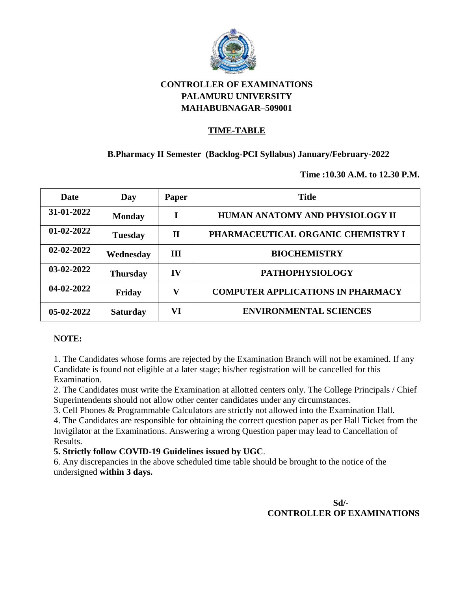

### **TIME-TABLE**

### **B.Pharmacy II Semester (Backlog-PCI Syllabus) January/February-2022**

**Time :10.30 A.M. to 12.30 P.M.**

| Date             | Day             | Paper | <b>Title</b>                             |
|------------------|-----------------|-------|------------------------------------------|
| 31-01-2022       | <b>Monday</b>   |       | HUMAN ANATOMY AND PHYSIOLOGY II          |
| $01-02-2022$     | <b>Tuesday</b>  | П     | PHARMACEUTICAL ORGANIC CHEMISTRY I       |
| $02 - 02 - 2022$ | Wednesday       | Ш     | <b>BIOCHEMISTRY</b>                      |
| 03-02-2022       | <b>Thursday</b> | IV    | <b>PATHOPHYSIOLOGY</b>                   |
| 04-02-2022       | Friday          | V     | <b>COMPUTER APPLICATIONS IN PHARMACY</b> |
| $05-02-2022$     | <b>Saturday</b> | VI    | <b>ENVIRONMENTAL SCIENCES</b>            |

#### **NOTE:**

1. The Candidates whose forms are rejected by the Examination Branch will not be examined. If any Candidate is found not eligible at a later stage; his/her registration will be cancelled for this Examination.

2. The Candidates must write the Examination at allotted centers only. The College Principals / Chief Superintendents should not allow other center candidates under any circumstances.

3. Cell Phones & Programmable Calculators are strictly not allowed into the Examination Hall.

4. The Candidates are responsible for obtaining the correct question paper as per Hall Ticket from the Invigilator at the Examinations. Answering a wrong Question paper may lead to Cancellation of Results.

#### **5. Strictly follow COVID-19 Guidelines issued by UGC**.

6. Any discrepancies in the above scheduled time table should be brought to the notice of the undersigned **within 3 days.**

> **Sd/- CONTROLLER OF EXAMINATIONS**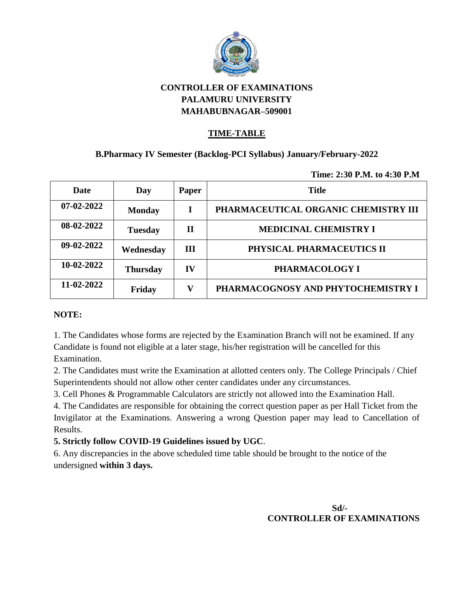

### **TIME-TABLE**

## **B.Pharmacy IV Semester (Backlog-PCI Syllabus) January/February-2022**

**Time: 2:30 P.M. to 4:30 P.M**

| Date             | Day             | <b>Paper</b> | <b>Title</b>                         |
|------------------|-----------------|--------------|--------------------------------------|
| $07 - 02 - 2022$ | <b>Monday</b>   |              | PHARMACEUTICAL ORGANIC CHEMISTRY III |
| 08-02-2022       | <b>Tuesday</b>  | $\mathbf{I}$ | <b>MEDICINAL CHEMISTRY I</b>         |
| $09-02-2022$     | Wednesday       | Ш            | PHYSICAL PHARMACEUTICS II            |
| 10-02-2022       | <b>Thursday</b> | $\bf{IV}$    | PHARMACOLOGY I                       |
| 11-02-2022       | Friday          | v            | PHARMACOGNOSY AND PHYTOCHEMISTRY I   |

#### **NOTE:**

1. The Candidates whose forms are rejected by the Examination Branch will not be examined. If any Candidate is found not eligible at a later stage, his/her registration will be cancelled for this Examination.

2. The Candidates must write the Examination at allotted centers only. The College Principals / Chief Superintendents should not allow other center candidates under any circumstances.

3. Cell Phones & Programmable Calculators are strictly not allowed into the Examination Hall.

4. The Candidates are responsible for obtaining the correct question paper as per Hall Ticket from the Invigilator at the Examinations. Answering a wrong Question paper may lead to Cancellation of Results.

### **5. Strictly follow COVID-19 Guidelines issued by UGC**.

6. Any discrepancies in the above scheduled time table should be brought to the notice of the undersigned **within 3 days.**

> **Sd/- CONTROLLER OF EXAMINATIONS**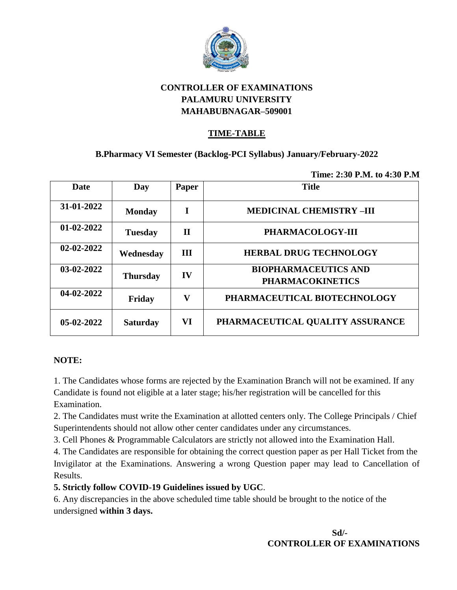

## **TIME-TABLE**

## **B.Pharmacy VI Semester (Backlog-PCI Syllabus) January/February-2022**

**Time: 2:30 P.M. to 4:30 P.M**

| <b>Date</b>      | Day             | <b>Paper</b> | <b>Title</b>                                           |
|------------------|-----------------|--------------|--------------------------------------------------------|
| 31-01-2022       | <b>Monday</b>   | T            | <b>MEDICINAL CHEMISTRY-III</b>                         |
| 01-02-2022       | <b>Tuesday</b>  | П            | PHARMACOLOGY-III                                       |
| $02 - 02 - 2022$ | Wednesday       | <b>III</b>   | <b>HERBAL DRUG TECHNOLOGY</b>                          |
| $03-02-2022$     | <b>Thursday</b> | IV           | <b>BIOPHARMACEUTICS AND</b><br><b>PHARMACOKINETICS</b> |
| $04 - 02 - 2022$ | Friday          | V            | PHARMACEUTICAL BIOTECHNOLOGY                           |
| $05-02-2022$     | <b>Saturday</b> | VI           | PHARMACEUTICAL QUALITY ASSURANCE                       |

#### **NOTE:**

1. The Candidates whose forms are rejected by the Examination Branch will not be examined. If any Candidate is found not eligible at a later stage; his/her registration will be cancelled for this Examination.

2. The Candidates must write the Examination at allotted centers only. The College Principals / Chief Superintendents should not allow other center candidates under any circumstances.

3. Cell Phones & Programmable Calculators are strictly not allowed into the Examination Hall.

4. The Candidates are responsible for obtaining the correct question paper as per Hall Ticket from the Invigilator at the Examinations. Answering a wrong Question paper may lead to Cancellation of Results.

### **5. Strictly follow COVID-19 Guidelines issued by UGC**.

6. Any discrepancies in the above scheduled time table should be brought to the notice of the undersigned **within 3 days.**

> **Sd/- CONTROLLER OF EXAMINATIONS**